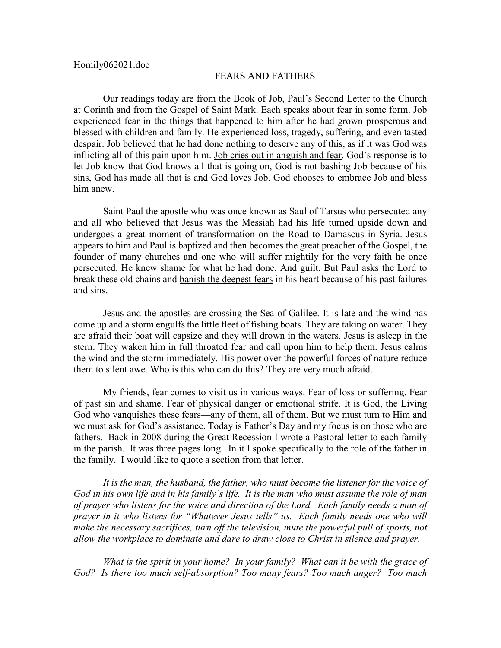## FEARS AND FATHERS

Our readings today are from the Book of Job, Paul's Second Letter to the Church at Corinth and from the Gospel of Saint Mark. Each speaks about fear in some form. Job experienced fear in the things that happened to him after he had grown prosperous and blessed with children and family. He experienced loss, tragedy, suffering, and even tasted despair. Job believed that he had done nothing to deserve any of this, as if it was God was inflicting all of this pain upon him. Job cries out in anguish and fear. God's response is to let Job know that God knows all that is going on, God is not bashing Job because of his sins, God has made all that is and God loves Job. God chooses to embrace Job and bless him anew.

Saint Paul the apostle who was once known as Saul of Tarsus who persecuted any and all who believed that Jesus was the Messiah had his life turned upside down and undergoes a great moment of transformation on the Road to Damascus in Syria. Jesus appears to him and Paul is baptized and then becomes the great preacher of the Gospel, the founder of many churches and one who will suffer mightily for the very faith he once persecuted. He knew shame for what he had done. And guilt. But Paul asks the Lord to break these old chains and banish the deepest fears in his heart because of his past failures and sins.

Jesus and the apostles are crossing the Sea of Galilee. It is late and the wind has come up and a storm engulfs the little fleet of fishing boats. They are taking on water. They are afraid their boat will capsize and they will drown in the waters. Jesus is asleep in the stern. They waken him in full throated fear and call upon him to help them. Jesus calms the wind and the storm immediately. His power over the powerful forces of nature reduce them to silent awe. Who is this who can do this? They are very much afraid.

My friends, fear comes to visit us in various ways. Fear of loss or suffering. Fear of past sin and shame. Fear of physical danger or emotional strife. It is God, the Living God who vanquishes these fears—any of them, all of them. But we must turn to Him and we must ask for God's assistance. Today is Father's Day and my focus is on those who are fathers. Back in 2008 during the Great Recession I wrote a Pastoral letter to each family in the parish. It was three pages long. In it I spoke specifically to the role of the father in the family. I would like to quote a section from that letter.

*It is the man, the husband, the father, who must become the listener for the voice of God in his own life and in his family's life. It is the man who must assume the role of man of prayer who listens for the voice and direction of the Lord. Each family needs a man of prayer in it who listens for "Whatever Jesus tells" us. Each family needs one who will make the necessary sacrifices, turn off the television, mute the powerful pull of sports, not allow the workplace to dominate and dare to draw close to Christ in silence and prayer.*

*What is the spirit in your home? In your family? What can it be with the grace of God? Is there too much self-absorption? Too many fears? Too much anger? Too much*